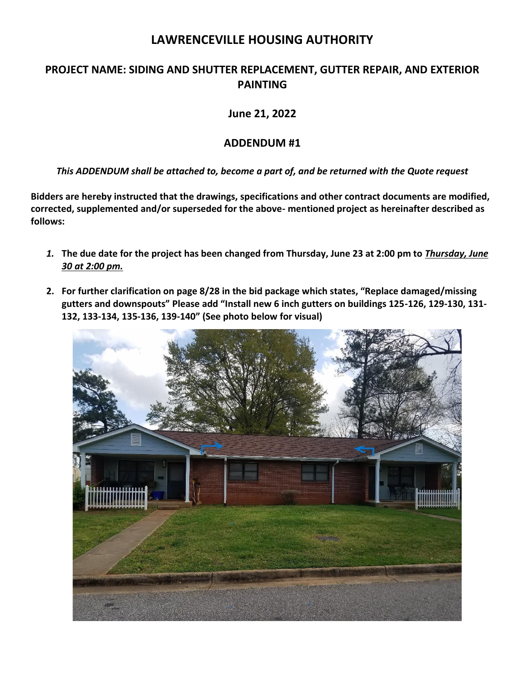# **LAWRENCEVILLE HOUSING AUTHORITY**

## **PROJECT NAME: SIDING AND SHUTTER REPLACEMENT, GUTTER REPAIR, AND EXTERIOR PAINTING**

**June 21, 2022**

## **ADDENDUM #1**

## *This ADDENDUM shall be attached to, become a part of, and be returned with the Quote request*

**Bidders are hereby instructed that the drawings, specifications and other contract documents are modified, corrected, supplemented and/or superseded for the above- mentioned project as hereinafter described as follows:**

- *1.* **The due date for the project has been changed from Thursday, June 23 at 2:00 pm to** *Thursday, June 30 at 2:00 pm.*
- **2. For further clarification on page 8/28 in the bid package which states, "Replace damaged/missing gutters and downspouts" Please add "Install new 6 inch gutters on buildings 125-126, 129-130, 131- 132, 133-134, 135-136, 139-140" (See photo below for visual)**